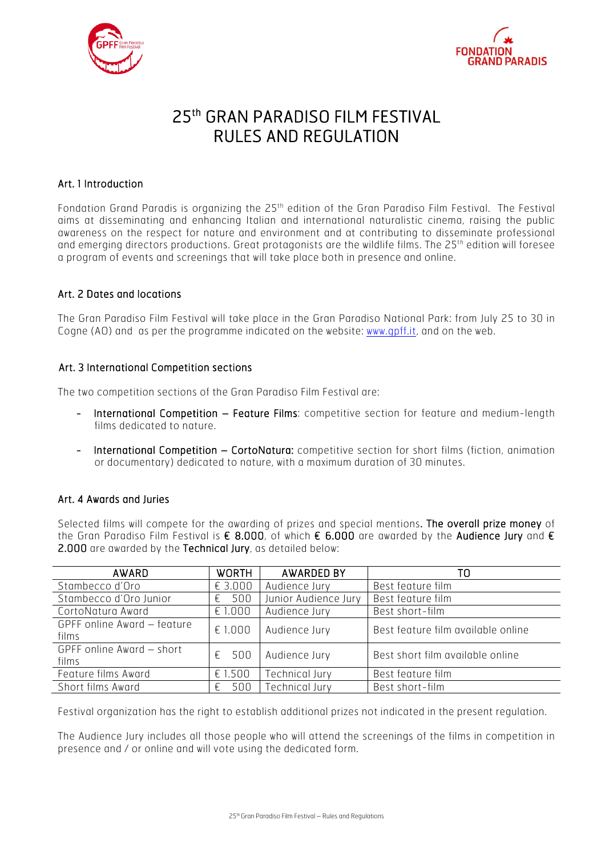



# 25th GRAN PARADISO FILM FESTIVAL RULES AND REGULATION

# Art. 1 Introduction

Fondation Grand Paradis is organizing the 25<sup>th</sup> edition of the Gran Paradiso Film Festival. The Festival aims at disseminating and enhancing Italian and international naturalistic cinema, raising the public awareness on the respect for nature and environment and at contributing to disseminate professional and emerging directors productions. Great protagonists are the wildlife films. The 25th edition will foresee a program of events and screenings that will take place both in presence and online.

## Art. 2 Dates and locations

The Gran Paradiso Film Festival will take place in the Gran Paradiso National Park: from July 25 to 30 in Cogne (AO) and as per the programme indicated on the website: www.gpff.it, and on the web.

#### Art. 3 International Competition sections

The two competition sections of the Gran Paradiso Film Festival are:

- International Competition Feature Films: competitive section for feature and medium-length films dedicated to nature.
- International Competition CortoNatura: competitive section for short films (fiction, animation or documentary) dedicated to nature, with a maximum duration of 30 minutes.

## Art. 4 Awards and Juries

Selected films will compete for the awarding of prizes and special mentions. The overall prize money of the Gran Paradiso Film Festival is € 8.000, of which € 6.000 are awarded by the Audience Jury and € 2.000 are awarded by the Technical Jury, as detailed below:

| AWARD                                | <b>WORTH</b> | <b>AWARDED BY</b>    | TO                                 |
|--------------------------------------|--------------|----------------------|------------------------------------|
| Stambecco d'Oro                      | € 3.000      | Audience Jury        | Best feature film                  |
| Stambecco d'Oro Junior               | 500<br>€     | Junior Audience Jury | Best feature film                  |
| CortoNatura Award                    | E1.000       | Audience Jury        | Best short-film                    |
| GPFF online Award - feature<br>films | € 1.000      | Audience Jury        | Best feature film available online |
| GPFF online Award - short<br>films   | 500<br>ŧ.    | Audience Jury        | Best short film available online   |
| Feature films Award                  | € 1.500      | Technical Jury       | Best feature film                  |
| Short films Award                    | 500<br>ŧ.    | Technical Jury       | Best short-film                    |

Festival organization has the right to establish additional prizes not indicated in the present regulation.

The Audience Jury includes all those people who will attend the screenings of the films in competition in presence and / or online and will vote using the dedicated form.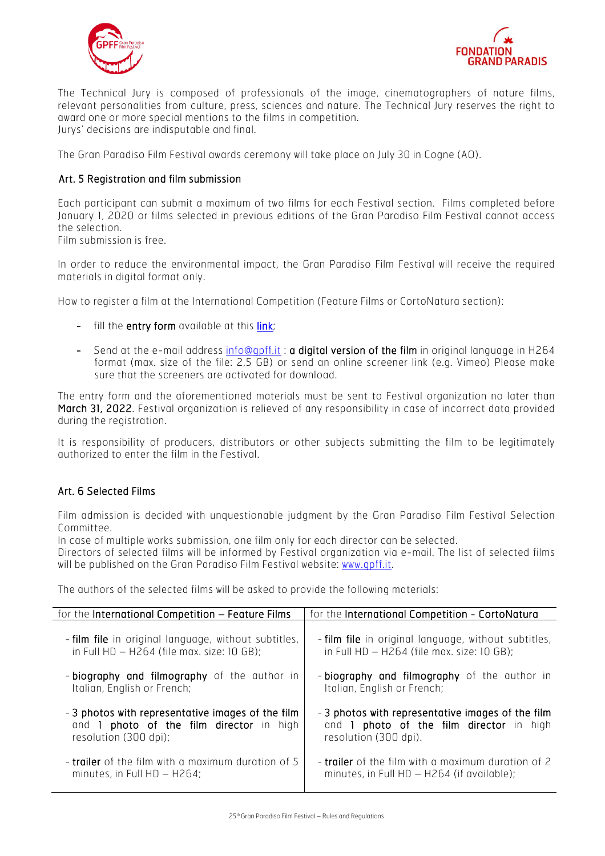



The Technical Jury is composed of professionals of the image, cinematographers of nature films, relevant personalities from culture, press, sciences and nature. The Technical Jury reserves the right to award one or more special mentions to the films in competition. Jurys' decisions are indisputable and final.

The Gran Paradiso Film Festival awards ceremony will take place on July 30 in Cogne (AO).

#### Art. 5 Registration and film submission

Each participant can submit a maximum of two films for each Festival section. Films completed before January 1, 2020 or films selected in previous editions of the Gran Paradiso Film Festival cannot access the selection.

Film submission is free.

In order to reduce the environmental impact, the Gran Paradiso Film Festival will receive the required materials in digital format only.

How to register a film at the International Competition (Feature Films or CortoNatura section):

- fill the **entry form** available at this **link**;
- Send at the e-mail address info@gpff.it: a digital version of the film in original language in H264 format (max. size of the file: 2,5 GB) or send an online screener link (e.g. Vimeo) Please make sure that the screeners are activated for download.

The entry form and the aforementioned materials must be sent to Festival organization no later than March 31, 2022. Festival organization is relieved of any responsibility in case of incorrect data provided during the registration.

It is responsibility of producers, distributors or other subjects submitting the film to be legitimately authorized to enter the film in the Festival.

## Art. 6 Selected Films

Film admission is decided with unquestionable judgment by the Gran Paradiso Film Festival Selection Committee.

In case of multiple works submission, one film only for each director can be selected.

Directors of selected films will be informed by Festival organization via e-mail. The list of selected films will be published on the Gran Paradiso Film Festival website: www.qpff.it.

The authors of the selected films will be asked to provide the following materials:

| for the International Competition - Feature Films    | for the International Competition - CortoNatura           |  |
|------------------------------------------------------|-----------------------------------------------------------|--|
| - film file in original language, without subtitles, | - film file in original language, without subtitles,      |  |
| in Full HD - H264 (file max. size: 10 GB);           | in Full HD - H264 (file max. size: 10 GB);                |  |
| - biography and filmography of the author in         | - biography and filmography of the author in              |  |
| Italian, English or French;                          | Italian, English or French;                               |  |
| - 3 photos with representative images of the film    | - 3 photos with representative images of the film         |  |
| and 1 photo of the film director in high             | and 1 photo of the film director in high                  |  |
| resolution (300 dpi);                                | resolution (300 dpi).                                     |  |
| - trailer of the film with a maximum duration of 5   | <b>- trailer</b> of the film with a maximum duration of 2 |  |
| minutes, in Full $HD - H264$ ;                       | minutes, in Full $HD - H264$ (if available);              |  |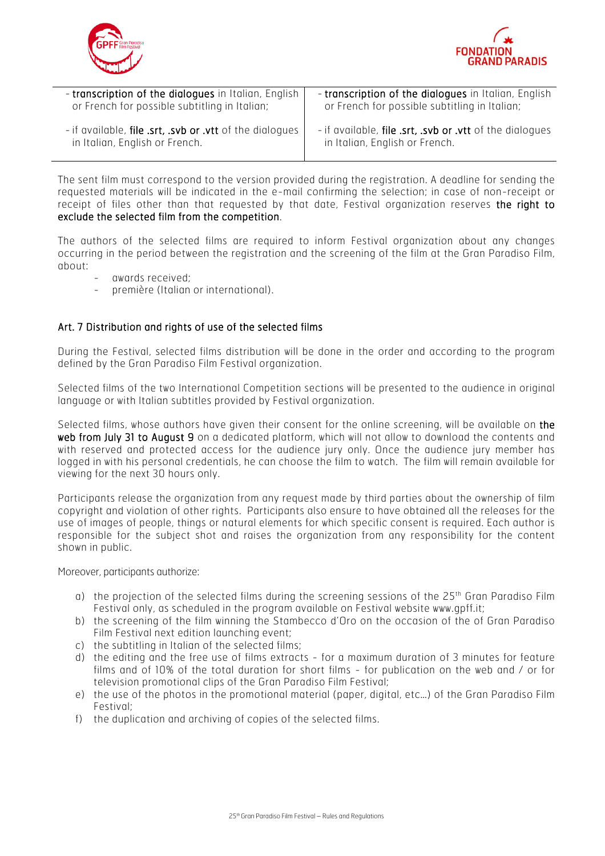



| - transcription of the dialogues in Italian, English            | - transcription of the dialogues in Italian, English     |
|-----------------------------------------------------------------|----------------------------------------------------------|
| or French for possible subtitling in Italian;                   | or French for possible subtitling in Italian;            |
| - if available, <b>file .srt, .svb or .vtt</b> of the dialogues | - if available, file .srt, .svb or .vtt of the dialogues |
| in Italian, English or French.                                  | in Italian, English or French.                           |

The sent film must correspond to the version provided during the registration. A deadline for sending the requested materials will be indicated in the e-mail confirming the selection; in case of non-receipt or receipt of files other than that requested by that date, Festival organization reserves the right to exclude the selected film from the competition.

The authors of the selected films are required to inform Festival organization about any changes occurring in the period between the registration and the screening of the film at the Gran Paradiso Film, about:

- awards received:
- première (Italian or international).

## Art. 7 Distribution and rights of use of the selected films

During the Festival, selected films distribution will be done in the order and according to the program defined by the Gran Paradiso Film Festival organization.

Selected films of the two International Competition sections will be presented to the audience in original language or with Italian subtitles provided by Festival organization.

Selected films, whose authors have given their consent for the online screening, will be available on the web from July 31 to August 9 on a dedicated platform, which will not allow to download the contents and with reserved and protected access for the audience jury only. Once the audience jury member has logged in with his personal credentials, he can choose the film to watch. The film will remain available for viewing for the next 30 hours only.

Participants release the organization from any request made by third parties about the ownership of film copyright and violation of other rights. Participants also ensure to have obtained all the releases for the use of images of people, things or natural elements for which specific consent is required. Each author is responsible for the subject shot and raises the organization from any responsibility for the content shown in public.

Moreover, participants authorize:

- a) the projection of the selected films during the screening sessions of the  $25<sup>th</sup>$  Gran Paradiso Film Festival only, as scheduled in the program available on Festival website www.gpff.it;
- b) the screening of the film winning the Stambecco d'Oro on the occasion of the of Gran Paradiso Film Festival next edition launching event;
- c) the subtitling in Italian of the selected films;
- d) the editing and the free use of films extracts for a maximum duration of 3 minutes for feature films and of 10% of the total duration for short films - for publication on the web and / or for television promotional clips of the Gran Paradiso Film Festival;
- e) the use of the photos in the promotional material (paper, digital, etc…) of the Gran Paradiso Film Festival;
- f) the duplication and archiving of copies of the selected films.